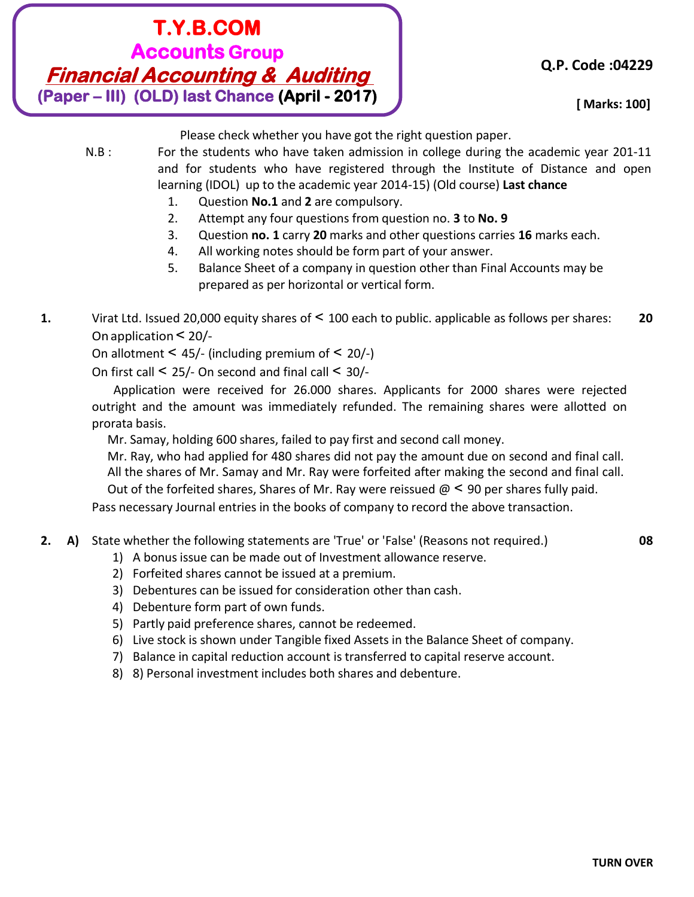# **T.Y.B.COM Accounts Group Financial Accounting & Auditing (Paper – III) (OLD) last Chance (April - 2017)**

**[Time: - 3 Hours] [ Marks: 100]**

Please check whether you have got the right question paper.

- N.B : For the students who have taken admission in college during the academic year 201-11 and for students who have registered through the Institute of Distance and open learning (IDOL) up to the academic year 2014-15) (Old course) **Last chance**
	- 1. Question **No.1** and **2** are compulsory.
	- 2. Attempt any four questions from question no. **3** to **No. 9**
	- 3. Question **no. 1** carry **20** marks and other questions carries **16** marks each.
	- 4. All working notes should be form part of your answer.
	- 5. Balance Sheet of a company in question other than Final Accounts may be prepared as per horizontal or vertical form.
- **1.** Virat Ltd. Issued 20,000 equity shares of < 100 each to public. applicable as follows per shares: **20** On application < 20/-

On allotment  $\leq 45$ /- (including premium of  $\leq 20$ /-)

On first call < 25/- On second and final call < 30/-

Application were received for 26.000 shares. Applicants for 2000 shares were rejected outright and the amount was immediately refunded. The remaining shares were allotted on prorata basis.

Mr. Samay, holding 600 shares, failed to pay first and second call money.

Mr. Ray, who had applied for 480 shares did not pay the amount due on second and final call. All the shares of Mr. Samay and Mr. Ray were forfeited after making the second and final call. Out of the forfeited shares, Shares of Mr. Ray were reissued  $\omega$  < 90 per shares fully paid.

Pass necessary Journal entries in the books of company to record the above transaction.

#### **2. A)** State whether the following statements are 'True' or 'False' (Reasons not required.) **08**

- 1) A bonus issue can be made out of Investment allowance reserve.
- 2) Forfeited shares cannot be issued at a premium.
- 3) Debentures can be issued for consideration other than cash.
- 4) Debenture form part of own funds.
- 5) Partly paid preference shares, cannot be redeemed.
- 6) Live stock is shown under Tangible fixed Assets in the Balance Sheet of company.
- 7) Balance in capital reduction account is transferred to capital reserve account.
- 8) 8) Personal investment includes both shares and debenture.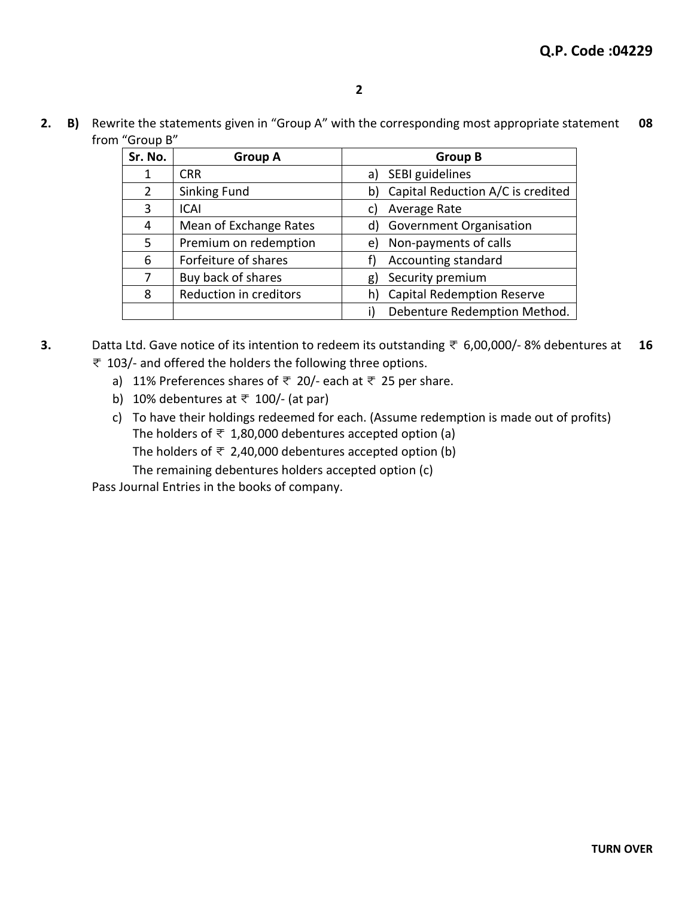$2.$ B) Rewrite the statements given in "Group A" with the corresponding most appropriate statement 08 from "Group B"

| Sr. No. | <b>Group A</b>         | <b>Group B</b>                          |
|---------|------------------------|-----------------------------------------|
| 1       | <b>CRR</b>             | SEBI guidelines<br>a)                   |
| 2       | <b>Sinking Fund</b>    | Capital Reduction A/C is credited<br>b) |
| 3       | <b>ICAI</b>            | Average Rate<br>C)                      |
| 4       | Mean of Exchange Rates | <b>Government Organisation</b><br>d)    |
| 5       | Premium on redemption  | Non-payments of calls<br>e)             |
| 6       | Forfeiture of shares   | Accounting standard                     |
| 7       | Buy back of shares     | Security premium<br>g)                  |
| 8       | Reduction in creditors | <b>Capital Redemption Reserve</b><br>h) |
|         |                        | Debenture Redemption Method.            |

<sup>3.</sup> Datta Ltd. Gave notice of its intention to redeem its outstanding  $\overline{z}$  6,00,000/-8% debentures at 16  $\overline{\tau}$  103/- and offered the holders the following three options.

- a) 11% Preferences shares of  $\overline{z}$  20/- each at  $\overline{z}$  25 per share.
- b) 10% debentures at  $\overline{\tau}$  100/- (at par)
- c) To have their holdings redeemed for each. (Assume redemption is made out of profits) The holders of  $\overline{\tau}$  1,80,000 debentures accepted option (a) The holders of  $\overline{\tau}$  2,40,000 debentures accepted option (b) The remaining debentures holders accepted option (c)

Pass Journal Entries in the books of company.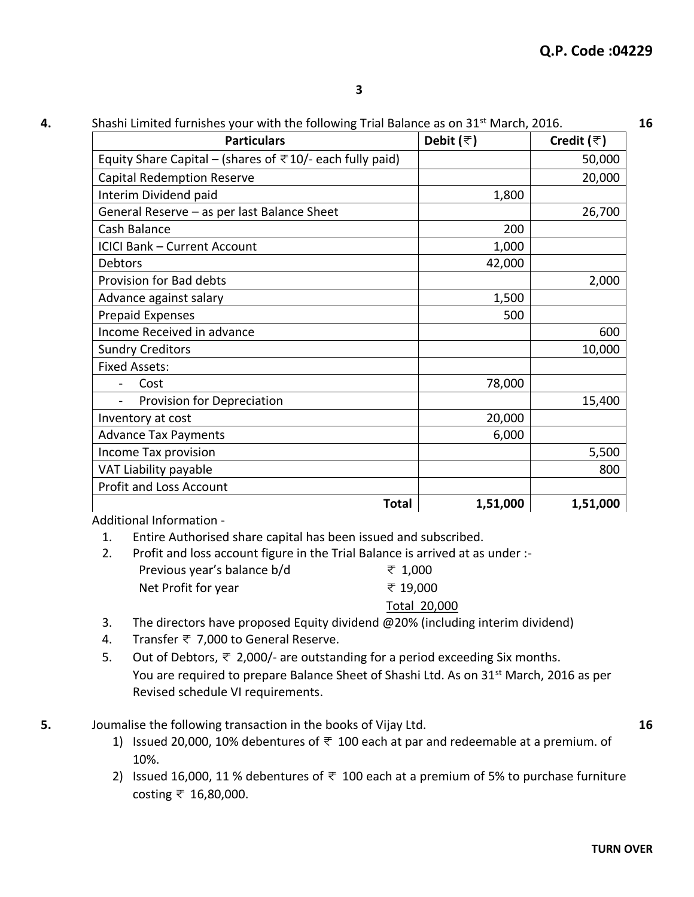**4.** Shashi Limited furnishes your with the following Trial Balance as on 31st March, 2016. **16**

| <b>Particulars</b>                                                     | Debit $(\overline{\tau})$ | Credit $(\bar{z})$ |
|------------------------------------------------------------------------|---------------------------|--------------------|
| Equity Share Capital – (shares of $\overline{5}$ 10/- each fully paid) |                           | 50,000             |
| <b>Capital Redemption Reserve</b>                                      |                           | 20,000             |
| Interim Dividend paid                                                  | 1,800                     |                    |
| General Reserve - as per last Balance Sheet                            |                           | 26,700             |
| Cash Balance                                                           | 200                       |                    |
| <b>ICICI Bank - Current Account</b>                                    | 1,000                     |                    |
| <b>Debtors</b>                                                         | 42,000                    |                    |
| Provision for Bad debts                                                |                           | 2,000              |
| Advance against salary                                                 | 1,500                     |                    |
| Prepaid Expenses                                                       | 500                       |                    |
| Income Received in advance                                             |                           | 600                |
| <b>Sundry Creditors</b>                                                |                           | 10,000             |
| <b>Fixed Assets:</b>                                                   |                           |                    |
| Cost                                                                   | 78,000                    |                    |
| Provision for Depreciation                                             |                           | 15,400             |
| Inventory at cost                                                      | 20,000                    |                    |
| <b>Advance Tax Payments</b>                                            | 6,000                     |                    |
| Income Tax provision                                                   |                           | 5,500              |
| VAT Liability payable                                                  |                           | 800                |
| <b>Profit and Loss Account</b>                                         |                           |                    |
| <b>Total</b>                                                           | 1,51,000                  | 1,51,000           |

Additional Information -

- 1. Entire Authorised share capital has been issued and subscribed.
- 2. Profit and loss account figure in the Trial Balance is arrived at as under :- Previous year's balance  $b/d$   $\qquad \qquad \pm 1,000$ Net Profit for year  $\overline{\tau}$  19,000

Total 20,000

- 3. The directors have proposed Equity dividend @20% (including interim dividend)
- 4. Transfer < 7,000 to General Reserve.
- 5. Out of Debtors,  $\overline{\tau}$  2,000/- are outstanding for a period exceeding Six months. You are required to prepare Balance Sheet of Shashi Ltd. As on 31<sup>st</sup> March, 2016 as per Revised schedule VI requirements.
- **5.** Joumalise the following transaction in the books of Vijay Ltd. **16**
	-
	- 1) Issued 20,000, 10% debentures of  $\overline{\tau}$  100 each at par and redeemable at a premium. of 10%.
	- 2) Issued 16,000, 11 % debentures of  $\overline{\tau}$  100 each at a premium of 5% to purchase furniture costing  $\bar{x}$  16,80,000.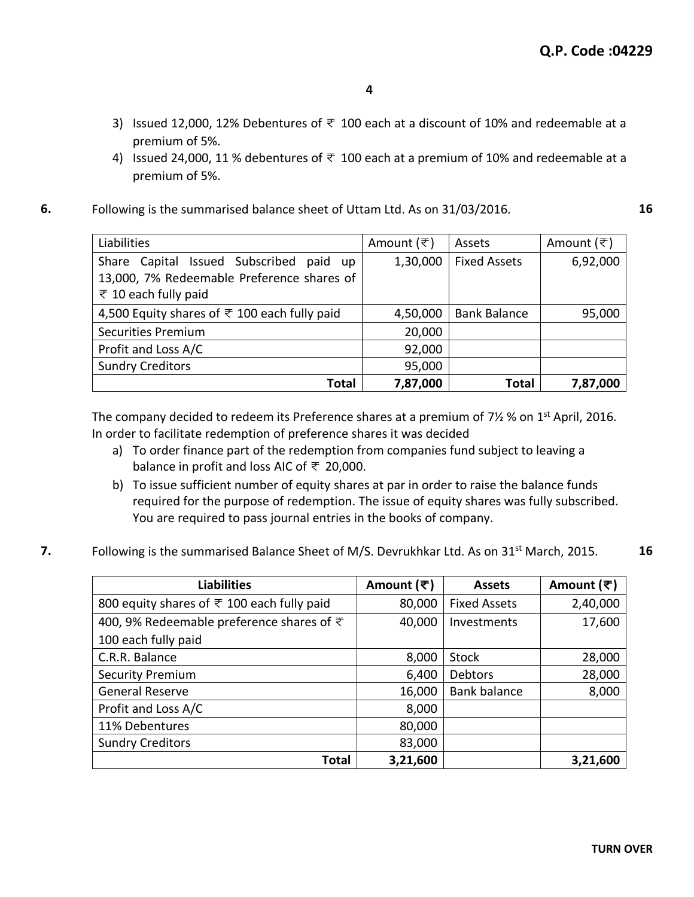- 3) Issued 12,000, 12% Debentures of  $\overline{\tau}$  100 each at a discount of 10% and redeemable at a premium of 5%.
- 4) Issued 24,000, 11 % debentures of  $\overline{\tau}$  100 each at a premium of 10% and redeemable at a premium of 5%.
- **6.** Following is the summarised balance sheet of Uttam Ltd. As on 31/03/2016. **16**

| Liabilities                                                  | Amount (₹) | Assets              | Amount (₹) |
|--------------------------------------------------------------|------------|---------------------|------------|
| Share Capital Issued Subscribed paid up                      | 1,30,000   | <b>Fixed Assets</b> | 6,92,000   |
| 13,000, 7% Redeemable Preference shares of                   |            |                     |            |
| ₹ 10 each fully paid                                         |            |                     |            |
| 4,500 Equity shares of $\overline{\tau}$ 100 each fully paid | 4,50,000   | <b>Bank Balance</b> | 95,000     |
| <b>Securities Premium</b>                                    | 20,000     |                     |            |
| Profit and Loss A/C                                          | 92,000     |                     |            |
| <b>Sundry Creditors</b>                                      | 95,000     |                     |            |
| <b>Total</b>                                                 | 7,87,000   | <b>Total</b>        | 7,87,000   |

The company decided to redeem its Preference shares at a premium of 7½ % on 1<sup>st</sup> April, 2016. In order to facilitate redemption of preference shares it was decided

- a) To order finance part of the redemption from companies fund subject to leaving a balance in profit and loss AIC of  $\overline{\tau}$  20,000.
- b) To issue sufficient number of equity shares at par in order to raise the balance funds required for the purpose of redemption. The issue of equity shares was fully subscribed. You are required to pass journal entries in the books of company.
- **7.** Following is the summarised Balance Sheet of M/S. Devrukhkar Ltd. As on 31<sup>st</sup> March, 2015. **16**

| <b>Liabilities</b>                                         | Amount (₹) | <b>Assets</b>       | Amount (₹) |
|------------------------------------------------------------|------------|---------------------|------------|
| 800 equity shares of $\overline{\tau}$ 100 each fully paid | 80,000     | <b>Fixed Assets</b> | 2,40,000   |
| 400, 9% Redeemable preference shares of ₹                  | 40,000     | Investments         | 17,600     |
| 100 each fully paid                                        |            |                     |            |
| C.R.R. Balance                                             | 8,000      | <b>Stock</b>        | 28,000     |
| <b>Security Premium</b>                                    | 6,400      | <b>Debtors</b>      | 28,000     |
| General Reserve                                            | 16,000     | <b>Bank balance</b> | 8,000      |
| Profit and Loss A/C                                        | 8,000      |                     |            |
| 11% Debentures                                             | 80,000     |                     |            |
| <b>Sundry Creditors</b>                                    | 83,000     |                     |            |
| <b>Total</b>                                               | 3,21,600   |                     | 3,21,600   |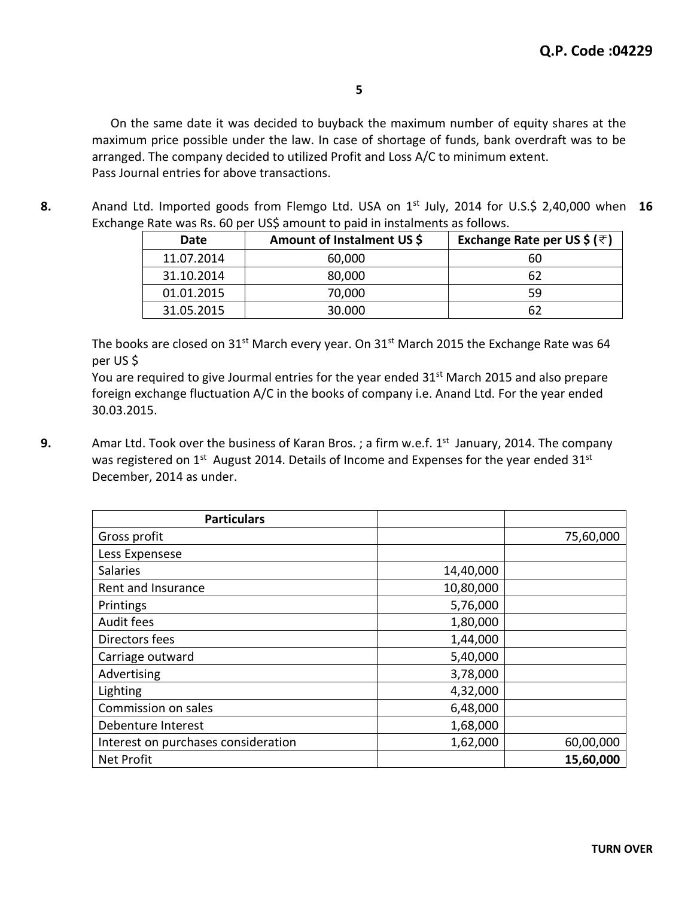On the same date it was decided to buyback the maximum number of equity shares at the maximum price possible under the law. In case of shortage of funds, bank overdraft was to be arranged. The company decided to utilized Profit and Loss A/C to minimum extent. Pass Journal entries for above transactions.

**8.** Anand Ltd. Imported goods from Flemgo Ltd. USA on 1st July, 2014 for U.S.\$ 2,40,000 when **16** Exchange Rate was Rs. 60 per US\$ amount to paid in instalments as follows.

| Date       | Amount of Instalment US \$ | Exchange Rate per US \$ ( $\overline{\tau}$ ) |
|------------|----------------------------|-----------------------------------------------|
| 11.07.2014 | 60,000                     | 60                                            |
| 31.10.2014 | 80,000                     |                                               |
| 01.01.2015 | 70,000                     | 59                                            |
| 31.05.2015 | 30.000                     |                                               |

The books are closed on  $31^{st}$  March every year. On  $31^{st}$  March 2015 the Exchange Rate was 64 per US \$

You are required to give Jourmal entries for the year ended 31<sup>st</sup> March 2015 and also prepare foreign exchange fluctuation A/C in the books of company i.e. Anand Ltd. For the year ended 30.03.2015.

**9.** Amar Ltd. Took over the business of Karan Bros.; a firm w.e.f. 1<sup>st</sup> January, 2014. The company was registered on 1<sup>st</sup> August 2014. Details of Income and Expenses for the year ended 31<sup>st</sup> December, 2014 as under.

| <b>Particulars</b>                  |           |           |
|-------------------------------------|-----------|-----------|
| Gross profit                        |           | 75,60,000 |
| Less Expensese                      |           |           |
| <b>Salaries</b>                     | 14,40,000 |           |
| Rent and Insurance                  | 10,80,000 |           |
| Printings                           | 5,76,000  |           |
| Audit fees                          | 1,80,000  |           |
| Directors fees                      | 1,44,000  |           |
| Carriage outward                    | 5,40,000  |           |
| Advertising                         | 3,78,000  |           |
| Lighting                            | 4,32,000  |           |
| Commission on sales                 | 6,48,000  |           |
| Debenture Interest                  | 1,68,000  |           |
| Interest on purchases consideration | 1,62,000  | 60,00,000 |
| <b>Net Profit</b>                   |           | 15,60,000 |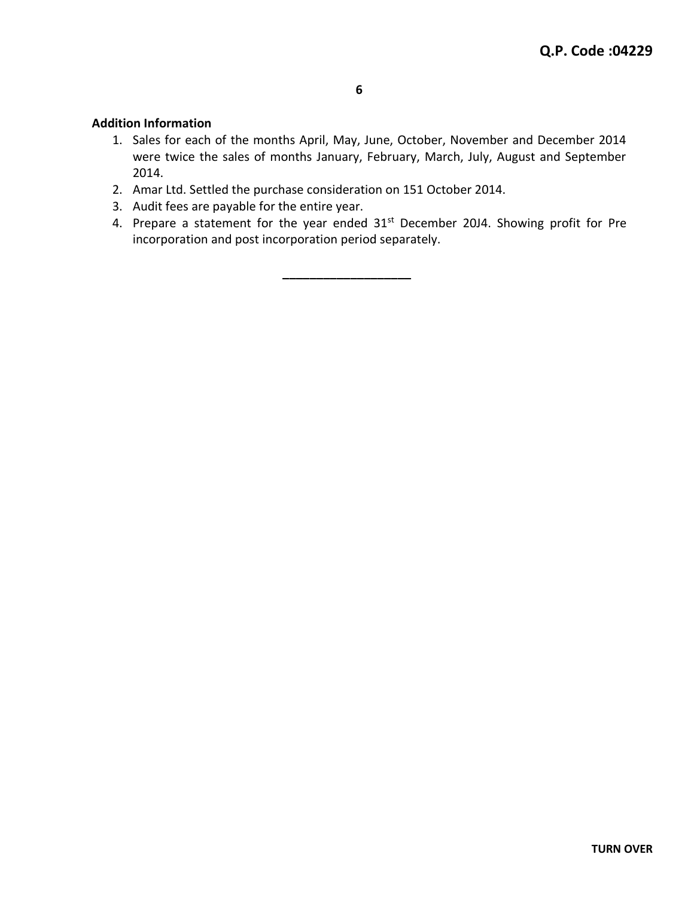#### **Addition Information**

- 1. Sales for each of the months April, May, June, October, November and December 2014 were twice the sales of months January, February, March, July, August and September 2014.
- 2. Amar Ltd. Settled the purchase consideration on 151 October 2014.
- 3. Audit fees are payable for the entire year.
- 4. Prepare a statement for the year ended 31st December 20J4. Showing profit for Pre incorporation and post incorporation period separately.

**\_\_\_\_\_\_\_\_\_\_\_\_\_\_\_\_\_\_\_**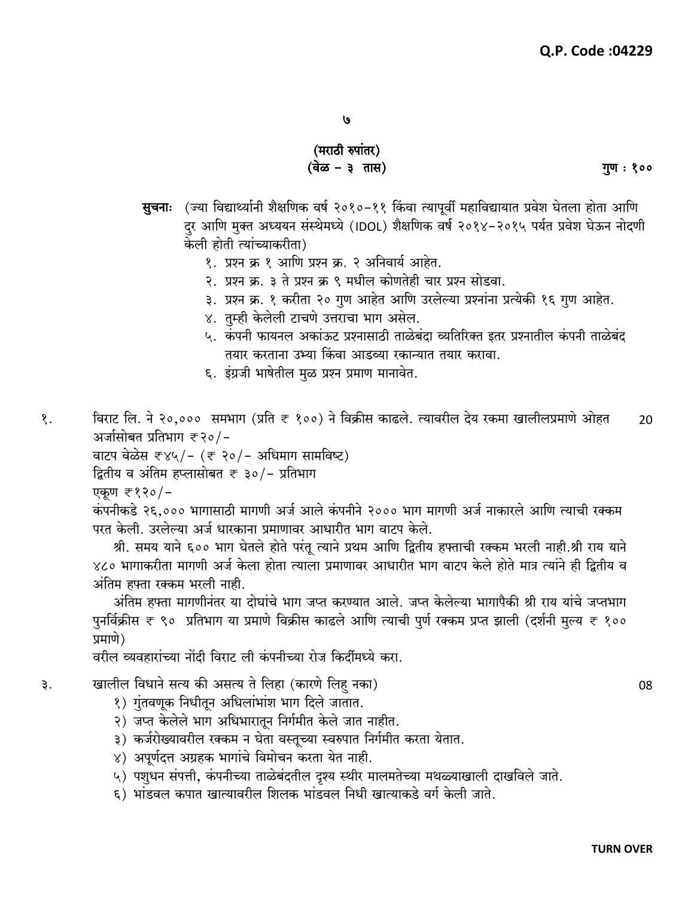### (मराठी रुपांतर) (वेळ – ३)तास)

**सुचनाः** (ज्या विद्यार्थ्यानी शैक्षणिक वर्ष २०१०-११ किंवा त्यापूर्वी महाविद्यायात प्रवेश घेतला होता आणि दर आणि मुक्त अध्ययन संस्थेमध्ये (IDOL) शैक्षणिक वर्ष २०१४-२०१५ पर्यत प्रवेश घेऊन नोदणी केली होती त्यांच्याकरीता)

- १. प्रश्न क्र १ आणि प्रश्न क्र. २ अनिवार्य आहेत.
- २. प्रश्न क्र. ३ ते प्रश्न क्र ९ मधील कोणतेही चार प्रश्न सोडवा.
- ३. प्रश्न क्र. १ करीता २० गुण आहेत आणि उरलेल्या प्रश्नांना प्रत्येकी १६ गुण आहेत.
- ४. तुम्ही केलेली टाचणे उत्तराचा भाग असेल.
- ५. कंपनी फायनल अकांऊट प्रश्नासाठी ताळेबंदा व्यतिरिक्त इतर प्रश्नातील कंपनी ताळेबंद तयार करताना उभ्या किंवा आडव्या रकान्यात तयार करावा.
- ६. इंग्रजी भाषेतील मुळ प्रश्न प्रमाण मानावेत.

विराट लि. ने २०,००० समभाग (प्रति ₹ १००) ने विक्रीस काढले. त्यावरील देय रकमा खालीलप्रमाणे ओहत १.  $20$ अर्जासोबत प्रतिभाग ₹२०/-

वाटप वेळेस ₹४५/- (₹ २०/- अधिमाग सामविष्ट)

द्वितीय व अंतिम हप्लासोबत ₹ ३०/- प्रतिभाग

एकण ₹१२०/-

कंपनीकडे २६,००० भागासाठी मागणी अर्ज आले कंपनीने २००० भाग मागणी अर्ज नाकारले आणि त्याची रक्कम परत केली. उरलेल्या अर्ज धारकाना प्रमाणावर आधारीत भाग वाटप केले.

श्री. समय याने ६०० भाग घेतले होते परंतू त्याने प्रथम आणि द्वितीय हफ्ताची रक्कम भरली नाही.श्री राय याने ४८० भागाकरीता मागणी अर्ज केला होता त्याला प्रमाणावर आधारीत भाग वाटप केले होते मात्र त्यांने ही द्वितीय व अंतिम हफ्ता रक्कम भरली नाही.

अंतिम हफ्ता मागणीनंतर या दोघांचे भाग जप्त करण्यात आले. जप्त केलेल्या भागापैकी श्री राय यांचे जप्तभाग पुनर्विक्रीस ₹ ९० प्रतिभाग या प्रमाणे विक्रीस काढले आणि त्याची पुर्ण रक्कम प्रप्त झाली (दर्शनी मुल्य ₹ १०० प्रमाणे)

वरील व्यवहारांच्या नोंदी विराट ली कंपनीच्या रोज किर्दीमध्ये करा.

- खालील विधाने सत्य की असत्य ते लिहा (कारणे लिह नका) ३.
	- १) गुंतवणूक निधीतून अधिलांभांश भाग दिले जातात.
	- २) जप्त केलेले भाग अधिभारातून निर्गमीत केले जात नाहीत.
	- ३) कर्जरोख्यावरील रक्कम न घेता वस्तूच्या स्वरुपात निर्गमीत करता येतात.
	- ४) अपूर्णदत्त अग्रहक भागांचे विमोचन करता येत नाही.
	- ५) पशुधन संपत्ती, कंपनीच्या ताळेबंदतील दृश्य स्थीर मालमतेच्या मथळ्याखाली दाखविले जाते.
	- ६) भांडवल कपात खात्यावरील शिलक भांडवल निधी खात्याकडे वर्ग केली जाते.

गुण: १००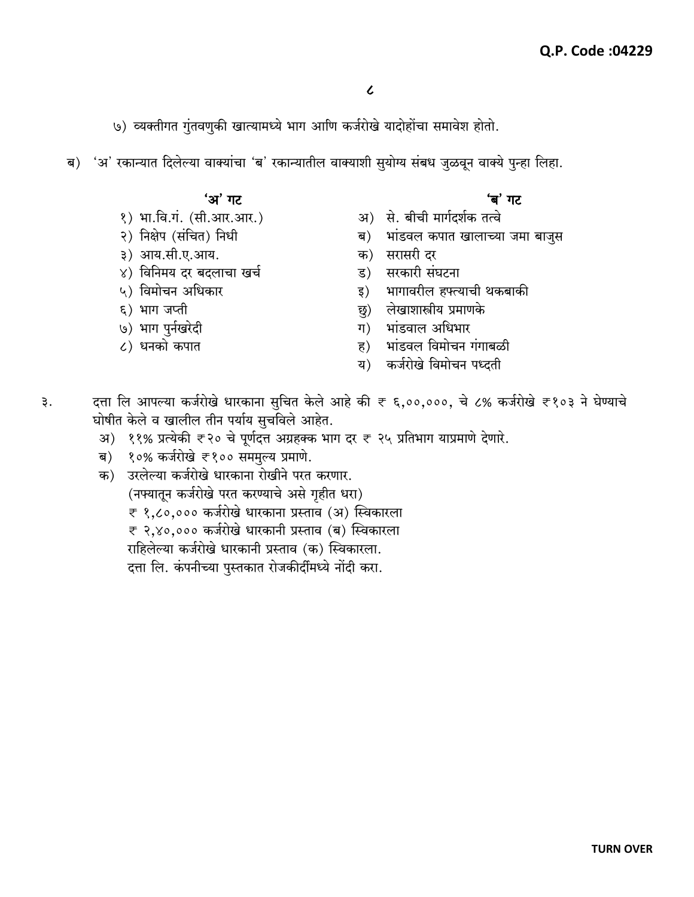७) व्यक्तीगत गुंतवणुकी खात्यामध्ये भाग आणि कर्जरोखे यादोहोंचा समावेश होतो.

ब) 'अ' रकान्यात दिलेल्या वाक्यांचा 'ब' रकान्यातील वाक्याशी सुयोग्य संबध जुळवून वाक्ये पुन्हा लिहा.

#### 'अ' गट

- १) भा.वि.गं. (सी.आर.आर.)
- २) निक्षेप (संचित) निधी
- ३) आय.सी.ए.आय.
- ४) विनिमय दर बदलाचा खर्च
- ५) विमोचन अधिकार
- ६) भाग जप्ती
- ७) भाग पुर्नखरेदी
- ८) धनको कपात

## 'ब' गट

- अ) से. बीची मार्गदर्शक तत्वे
- भांडवल कपात खालाच्या जमा बाजुस ब)
- क) सरासरी दर
- सरकारी संघटना ड)
- भागावरील हफ्त्याची थकबाकी इ)
- लेखाशास्त्रीय प्रमाणके छु)
- ग) भांडवाल अधिभार
- भांडवल विमोचन गंगाबळी ह)
- कर्जरोखे विमोचन पध्दती य)
- दत्ता लि आपल्या कर्जरोखे धारकाना सुचित केले आहे की ₹ ६,००,०००, चे ८% कर्जरोखे ₹१०३ ने घेण्याचे ३. घोषीत केले व खालील तीन पर्याय सुचविले आहेत.
	- अ) ११% प्रत्येकी ₹२० चे पूर्णदत्त अग्रहक्क भाग दर ₹ २५ प्रतिभाग याप्रमाणे देणारे.
	- १०% कर्जरोखे ₹१०० सममुल्य प्रमाणे. ब)
	- क) उरलेल्या कर्जरोखे धारकाना रोखीने परत करणार. (नफ्यातून कर्जरोखे परत करण्याचे असे गृहीत धरा) ₹ १,८०,००० कर्जरोखे धारकाना प्रस्ताव (अ) स्विकारला ₹ २,४०,००० कर्जरोखे धारकानी प्रस्ताव (ब) स्विकारला राहिलेल्या कर्जरोखे धारकानी प्रस्ताव (क) स्विकारला. दत्ता लि. कंपनीच्या पुस्तकात रोजकीर्दीमध्ये नोंदी करा.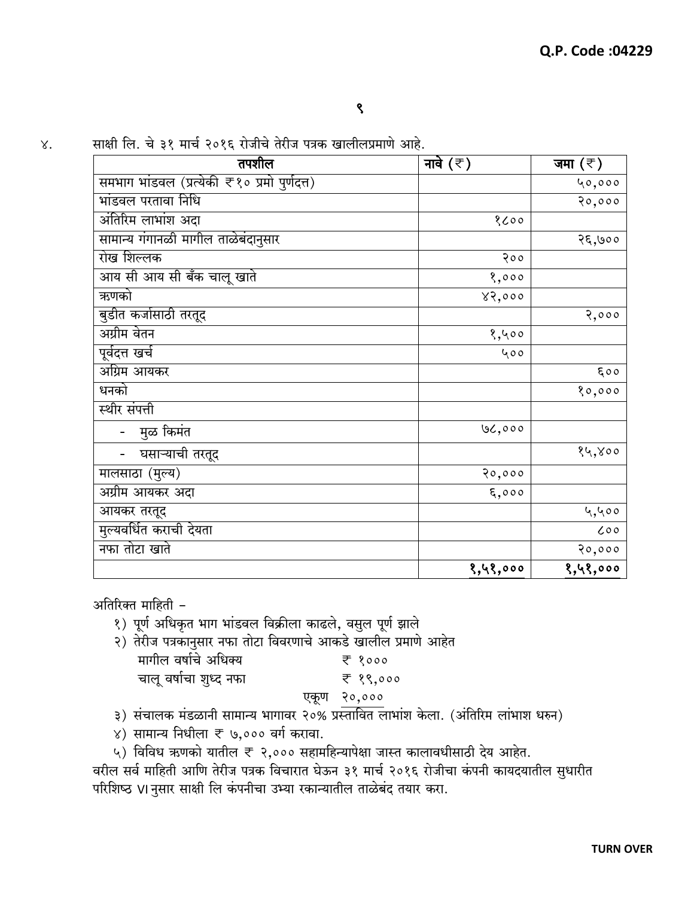साक्षी लि. चे ३१ मार्च २०१६ रोजीचे तेरीज पत्रक खालीलप्रमाणे आहे.  $X$ .

| तपशील                                        | नावे $(\bar{\tau})$ | जमा $(\bar{z})$ |
|----------------------------------------------|---------------------|-----------------|
| समभाग भांडवल (प्रत्येकी ₹१० प्रमो पुर्णदत्त) |                     | 40,000          |
| भांडवल परतावा निधि                           |                     | 20,000          |
| अंतिरिम लाभांश अदा                           | 8600                |                 |
| सामान्य गंगानळी मागील ताळेबंदानुसार          |                     | २६,७००          |
| रोख शिल्लक                                   | 200                 |                 |
| आय सी आय सी बँक चालू खाते                    | 8,000               |                 |
| ऋणको                                         | 82,000              |                 |
| बुडीत कर्जासाठी तरतूद                        |                     | 2,000           |
| अग्रीम वेतन                                  | 8,400               |                 |
| पूर्वदत्त खर्च                               | 400                 |                 |
| अग्रिम आयकर                                  |                     | 500             |
| धनको                                         |                     | 80,000          |
| स्थीर संपत्ती                                |                     |                 |
| मुळ किमंत                                    | 00,000              |                 |
| घसाऱ्याची तरतूद                              |                     | १५,४००          |
| मालसाठा (मुल्य)                              | 20,000              |                 |
| अग्रीम आयकर अदा                              | $\xi$ ,000          |                 |
| आयकर तरतूद                                   |                     | ५,५००           |
| मुल्यवर्धित कराची देयता                      |                     | 000             |
| नफा तोटा खाते                                |                     | 20,000          |
|                                              | १,५१,०००            | १,५१,०००        |

अतिरिक्त माहिती -

- १) पूर्ण अधिकृत भाग भांडवल विक्रीला काढले, वसुल पूर्ण झाले
- २) तेरीज पत्रकानुसार नफा तोटा विवरणाचे आकडे खालील प्रमाणे आहेत

- ३) संचालक मंडळानी सामान्य भागावर २०% प्रस्तावित लाभांश केला. (अंतिरिम लांभाश धरुन)
- ४) सामान्य निधीला ₹ ७,००० वर्ग करावा.
- ५) विविध ऋणको यातील ₹ २,००० सहामहिन्यापेक्षा जास्त कालावधीसाठी देय आहेत.

वरील सर्व माहिती आणि तेरीज पत्रक विचारात घेऊन ३१ मार्च २०१६ रोजीचा कंपनी कायदयातील सुधारीत परिशिष्ठ VI नुसार साक्षी लि कंपनीचा उभ्या रकान्यातील ताळेबंद तयार करा.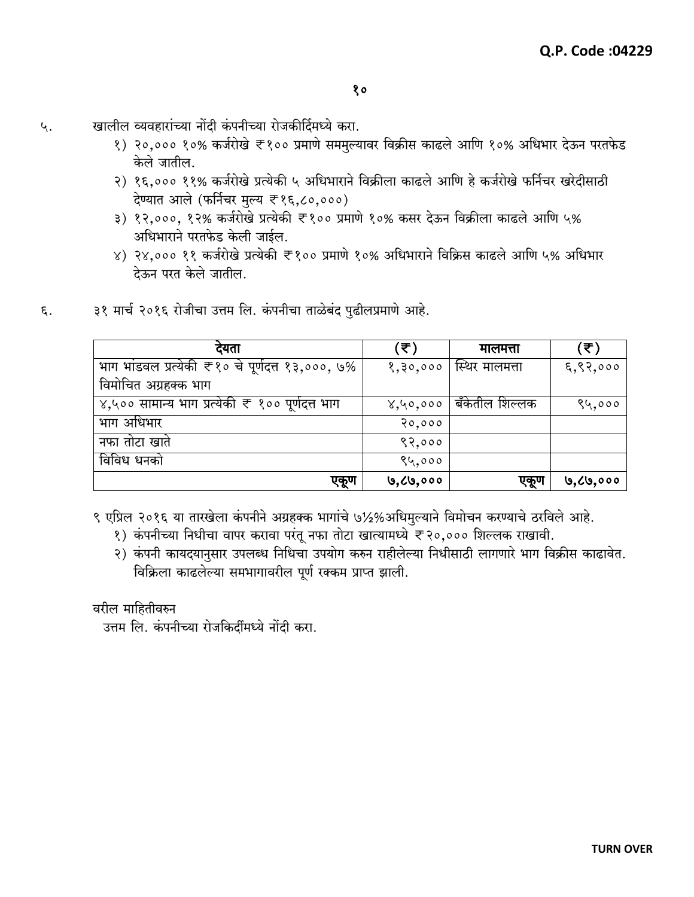- खालील व्यवहारांच्या नोंदी कंपनीच्या रोजकीर्दिमध्ये करा. ५.
	- १) २०,००० १०% कर्जरोखे ₹१०० प्रमाणे सममुल्यावर विक्रीस काढले आणि १०% अधिभार देऊन परतफेड केले जातील.
	- २) १६,००० ११% कर्जरोखे प्रत्येकी ५ अधिभाराने विक्रीला काढले आणि हे कर्जरोखे फर्निचर खरेदीसाठी देण्यात आले (फर्निचर मुल्य ₹१६,८०,०००)
	- ३) १२,०००, १२% कर्जरोखे प्रत्येकी ₹१०० प्रमाणे १०% कसर देऊन विक्रीला काढले आणि ५% अधिभाराने परतफेड केली जाईल.
	- ४) २४,००० ११ कर्जरोखे प्रत्येकी ₹१०० प्रमाणे १०% अधिभाराने विक्रिस काढले आणि ५% अधिभार देऊन परत केले जातील.
- ३१ मार्च २०१६ रोजीचा उत्तम लि. कंपनीचा ताळेबंद पुढीलप्रमाणे आहे.  $\epsilon$ .

| देयता                                            | ′₹)      | मालमत्ता       | .₹)                  |
|--------------------------------------------------|----------|----------------|----------------------|
| भाग भांडवल प्रत्येकी ₹१० चे पूर्णदत्त १३,०००, ७% | १,३०,००० | स्थिर मालमत्ता | $\xi,\xi,\delta$ 000 |
| विमोचित अग्रहक्क भाग                             |          |                |                      |
| ४,५०० सामान्य भाग प्रत्येकी ₹ १०० पूर्णदत्त भाग  | 8,40,000 | बँकेतील शिल्लक | 84,000               |
| भाग अधिभार                                       | 20,000   |                |                      |
| नफा तोटा खाते                                    | ९२,०००   |                |                      |
| विविध धनको                                       | ९५,०००   |                |                      |
| एकूण                                             | ७,८७,००० | एकूण           | ७,८७,०००             |

- ९ एप्रिल २०१६ या तारखेला कंपनीने अग्रहक्क भागांचे ७½%अधिमुल्याने विमोचन करण्याचे ठरविले आहे.
	- १) कंपनीच्या निधीचा वापर करावा परंतू नफा तोटा खात्यामध्ये ₹२०,००० शिल्लक राखावी.
	- २) कंपनी कायदयानुसार उपलब्ध निधिचा उपयोग करुन राहीलेल्या निधीसाठी लागणारे भाग विक्रीस काढावेत. विक्रिला काढलेल्या समभागावरील पूर्ण रक्कम प्राप्त झाली.

वरील माहितीवरुन

उत्तम लि. कंपनीच्या रोजकिर्दीमध्ये नोंदी करा.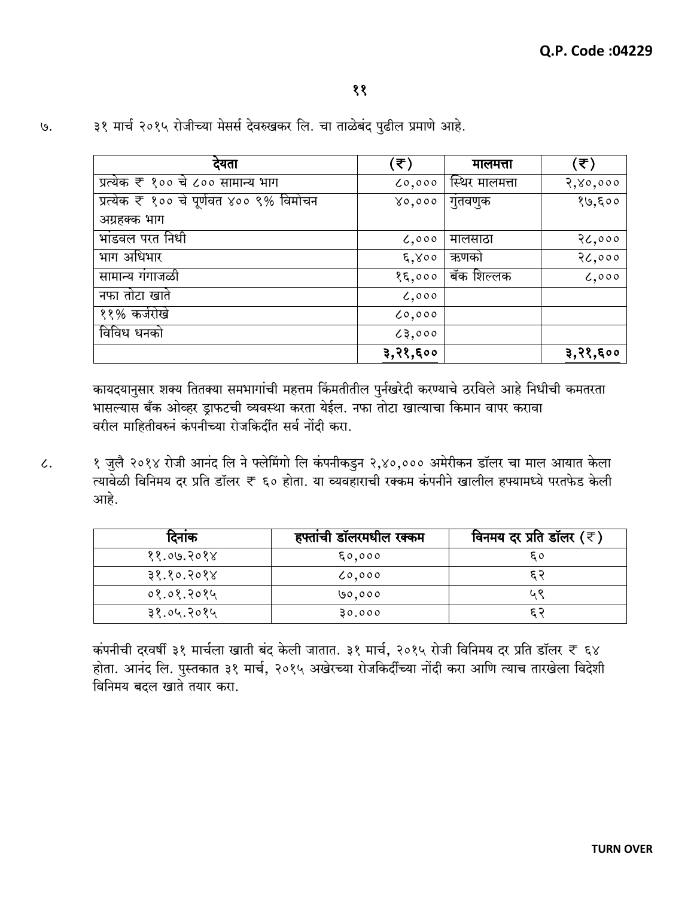| देयता                                   | (₹)                 | मालमत्ता       | (₹)      |
|-----------------------------------------|---------------------|----------------|----------|
| प्रत्येक ₹ १०० चे ८०० सामान्य भाग       | 0,000               | स्थिर मालमत्ता | 2,80,000 |
| प्रत्येक ₹ १०० चे पूर्णवत ४०० ९% विमोचन | 80,000              | गुतवणुक        | १७,६००   |
| अग्रहक्क भाग                            |                     |                |          |
| भांडवल परत निधी                         | 6,000               | मालसाठा        | 26,000   |
| भाग अधिभार                              | $\xi$ , $\gamma$ 00 | ऋणको           | 26,000   |
| सामान्य गंगाजळी                         | 85,000              | बॅक शिल्लक     | 0,000    |
| नफा तोटा खाते                           | 0,000               |                |          |
| ११% कर्जरोखे                            | 0,000               |                |          |
| विविध धनको                              | 23,000              |                |          |
|                                         | ३,२१,६००            |                | ३,२१,६०० |

३१ मार्च २०१५ रोजीच्या मेसर्स देवरुखकर लि. चा ताळेबंद पुढील प्रमाणे आहे.  $\mathcal{G}$ .

> कायदयानुसार शक्य तितक्या समभागांची महत्तम किंमतीतील पुर्नखरेदी करण्याचे ठरविले आहे निधीची कमतरता भासल्यास बँक ओव्हर ड्राफटची व्यवस्था करता येईल. नफा तोटा खात्याचा किमान वापर करावा वरील माहितीवरुनं कंपनीच्या रोजकिर्दीत सर्व नोंदी करा.

१ जुलै २०१४ रोजी आनंद लि ने फ्लेमिंगो लि कंपनीकडुन २,४०,००० अमेरीकन डॉलर चा माल आयात केला  $\mathcal{L}.$ त्यावेळी विनिमय दर प्रति डॉलर ₹ ६० होता. या व्यवहाराची रक्कम कंपनीने खालील हफ्यामध्ये परतफेड केली आहे.

| दिनाक      | हफ्तांची डॉलरमधील रक्कम | विनमय दर प्रति डॉलर $(\overline{\tau})$ |
|------------|-------------------------|-----------------------------------------|
| ११.०७.२०१४ | 50,000                  | ξ٥                                      |
| ३१.१०.२०१४ | 0.000                   | દ ર                                     |
| ०१.०१.२०१५ | 00,000                  | ५९                                      |
| ३१.०५.२०१५ | 30.000                  |                                         |

कंपनीची दरवर्षी ३१ मार्चला खाती बंद केली जातात. ३१ मार्च, २०१५ रोजी विनिमय दर प्रति डॉलर ₹ ६४ होता. आनंद लि. पुस्तकात ३१ मार्च, २०१५ अखेरच्या रोजकिर्दीच्या नोंदी करा आणि त्याच तारखेला विदेशी विनिमय बदल खाते तयार करा.